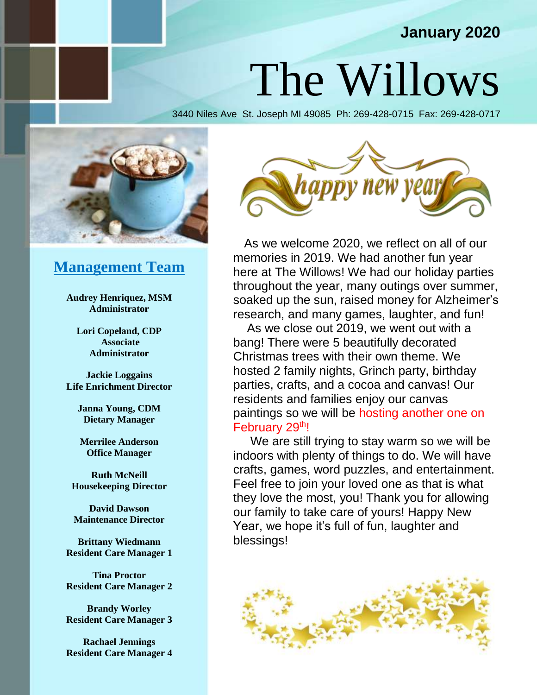### **January 2020**

## The Willows

3440 Niles Ave St. Joseph MI 49085 Ph: 269-428-0715 Fax: 269-428-0717



#### **Management Team**

**Audrey Henriquez, MSM Administrator**

**Lori Copeland, CDP Associate Administrator**

**Jackie Loggains Life Enrichment Director**

> **Janna Young, CDM Dietary Manager**

**Merrilee Anderson Office Manager**

**Ruth McNeill Housekeeping Director**

**David Dawson Maintenance Director**

**Brittany Wiedmann Resident Care Manager 1**

**Tina Proctor Resident Care Manager 2**

**Brandy Worley Resident Care Manager 3**

**Rachael Jennings Resident Care Manager 4**



 As we welcome 2020, we reflect on all of our memories in 2019. We had another fun year here at The Willows! We had our holiday parties throughout the year, many outings over summer, soaked up the sun, raised money for Alzheimer's research, and many games, laughter, and fun!

 As we close out 2019, we went out with a bang! There were 5 beautifully decorated Christmas trees with their own theme. We hosted 2 family nights, Grinch party, birthday parties, crafts, and a cocoa and canvas! Our residents and families enjoy our canvas paintings so we will be hosting another one on February 29th!

 We are still trying to stay warm so we will be indoors with plenty of things to do. We will have crafts, games, word puzzles, and entertainment. Feel free to join your loved one as that is what they love the most, you! Thank you for allowing our family to take care of yours! Happy New Year, we hope it's full of fun, laughter and blessings!

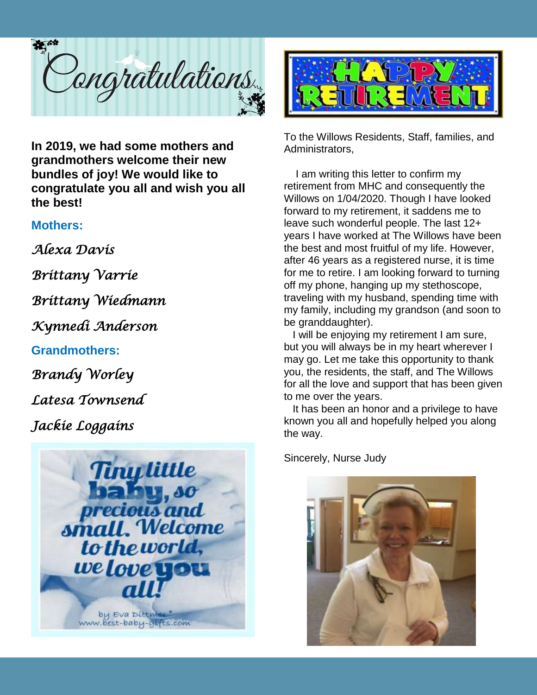

**In 2019, we had some mothers and grandmothers welcome their new bundles of joy! We would like to congratulate you all and wish you all the best!**

#### **Mothers:**

*Alexa Davis* 

*Brittany Varrie* 

*Brittany Wiedmann* 

*Kynnedi Anderson* 

#### **Grandmothers:**

*Brandy Worley* 

*Latesa Townsend* 

*Jackie Loggains* 





To the Willows Residents, Staff, families, and Administrators,

 I am writing this letter to confirm my retirement from MHC and consequently the Willows on 1/04/2020. Though I have looked forward to my retirement, it saddens me to leave such wonderful people. The last 12+ years I have worked at The Willows have been the best and most fruitful of my life. However, after 46 years as a registered nurse, it is time for me to retire. I am looking forward to turning off my phone, hanging up my stethoscope, traveling with my husband, spending time with my family, including my grandson (and soon to be granddaughter).

 I will be enjoying my retirement I am sure, but you will always be in my heart wherever I may go. Let me take this opportunity to thank you, the residents, the staff, and The Willows for all the love and support that has been given to me over the years.

 It has been an honor and a privilege to have known you all and hopefully helped you along the way.

Sincerely, Nurse Judy

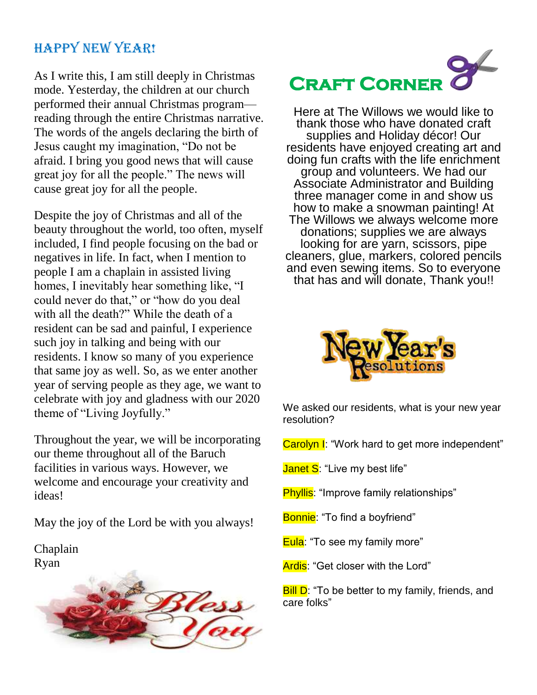### Happy New Year!

As I write this, I am still deeply in Christmas mode. Yesterday, the children at our church performed their annual Christmas program reading through the entire Christmas narrative. The words of the angels declaring the birth of Jesus caught my imagination, "Do not be afraid. I bring you good news that will cause great joy for all the people." The news will cause great joy for all the people.

Despite the joy of Christmas and all of the beauty throughout the world, too often, myself included, I find people focusing on the bad or negatives in life. In fact, when I mention to people I am a chaplain in assisted living homes, I inevitably hear something like, "I could never do that," or "how do you deal with all the death?" While the death of a resident can be sad and painful, I experience such joy in talking and being with our residents. I know so many of you experience that same joy as well. So, as we enter another year of serving people as they age, we want to celebrate with joy and gladness with our 2020 theme of "Living Joyfully."

Throughout the year, we will be incorporating our theme throughout all of the Baruch facilities in various ways. However, we welcome and encourage your creativity and ideas!

May the joy of the Lord be with you always!

Chaplain Ryan



## **Craft Corner**

Here at The Willows we would like to thank those who have donated craft supplies and Holiday décor! Our residents have enjoyed creating art and doing fun crafts with the life enrichment group and volunteers. We had our Associate Administrator and Building three manager come in and show us how to make a snowman painting! At The Willows we always welcome more donations; supplies we are always looking for are yarn, scissors, pipe cleaners, glue, markers, colored pencils and even sewing items. So to everyone that has and will donate, Thank you!!



We asked our residents, what is your new year resolution?

Carolyn I: "Work hard to get more independent"

Janet S: "Live my best life"

**Phyllis:** "Improve family relationships"

Bonnie: "To find a boyfriend"

Eula: "To see my family more"

Ardis: "Get closer with the Lord"

**Bill D**: "To be better to my family, friends, and care folks"